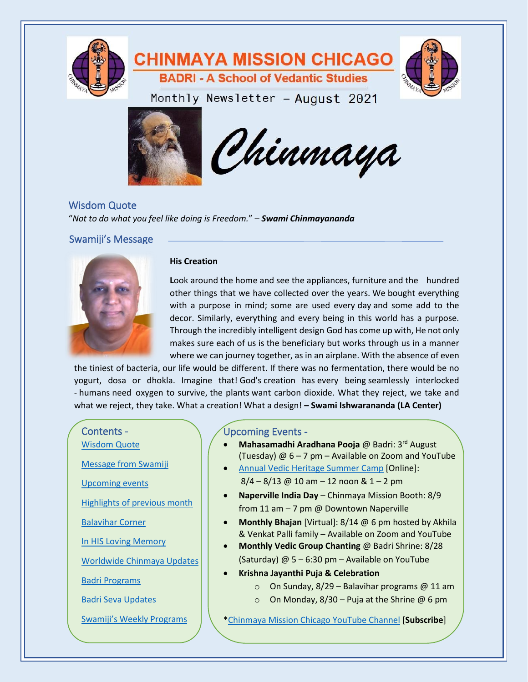

# **CHINMAYA MISSION CHICAGO BADRI - A School of Vedantic Studies**



Monthly Newsletter - August 2021





<span id="page-0-0"></span>Wisdom Quote "*Not to do what you feel like doing is Freedom.*" – *Swami Chinmayananda*

<span id="page-0-1"></span>Swamiji's Message



#### **His Creation**

a design  $\Delta$ 

**L**ook around the home and see the appliances, furniture and the hundred other things that we have collected over the years. We bought everything with a purpose in mind; some are used every day and some add to the decor. Similarly, everything and every being in this world has a purpose. Through the incredibly intelligent design God has come up with, He not only makes sure each of us is the beneficiary but works through us in a manner where we can journey together, as in an airplane. With the absence of even

the tiniest of bacteria, our life would be different. If there was no fermentation, there would be no yogurt, dosa or dhokla. Imagine that! God's creation has every being seamlessly interlocked o survive, the plants want carbon dioxide. What they reject, we take and what we reject, they take. What a creation! What a design! - Swami Ishwarananda (LA Center) the tiniest of bacteria, our life would be different. If there was no fermentation, there would be no<br>yogurt, dosa or dhokla. Imagine that! God's creation has every being seamlessly interlocked<br>- humans need oxygen to surv

# Contents - [Wisdom Quote](#page-0-0)

[Message from Swamiji](#page-0-1) 

[Upcoming events](#page-0-2)

Highlights [of previous](#page-1-0) month

Balavihar Corner

[In HIS Loving Memory](#page-5-0)

[Worldwide Chinmaya Updates](#page-5-1)

[Badri Programs](#page-5-2)

[Badri Seva Updates](#page-6-0)

[Swamiji's Weekly Programs](#page-6-1)

# <span id="page-0-2"></span>Upcoming Events -

- **Mahasamadhi Aradhana Pooja** @ Badri: 3<sup>rd</sup> August (Tuesday) @ 6 – 7 pm – Available on Zoom and YouTube
- [Annual Vedic Heritage Summer Camp](https://mychinmaya.org/annual-vedic-heritage-camp-2/) [Online]:  $8/4 - 8/13$  @ 10 am  $-$  12 noon & 1  $-$  2 pm

 $\begin{array}{ccc} \hline \end{array}$  regently take and what when what we reject, they take and what a creation  $\begin{array}{ccc} \hline \end{array}$ 

- **Naperville India Day** Chinmaya Mission Booth: 8/9 from 11 am – 7 pm @ Downtown Naperville
- **Monthly Bhajan** [Virtual]: 8/14 @ 6 pm hosted by Akhila & Venkat Palli family – Available on Zoom and YouTube
- **Monthly Vedic Group Chanting** @ Badri Shrine: 8/28 (Saturday)  $@ 5 - 6:30$  pm – Available on YouTube
- **Krishna Jayanthi Puja & Celebration**
	- $\circ$  On Sunday, 8/29 Balavihar programs @ 11 am
	- $\circ$  On Monday, 8/30 Puja at the Shrine @ 6 pm

[\\*Chinmaya Mission Chicago YouTube Channel](https://www.youtube.com/channel/UCIkawMj3kNGl-I6xcX3pkGA) [**Subscribe**]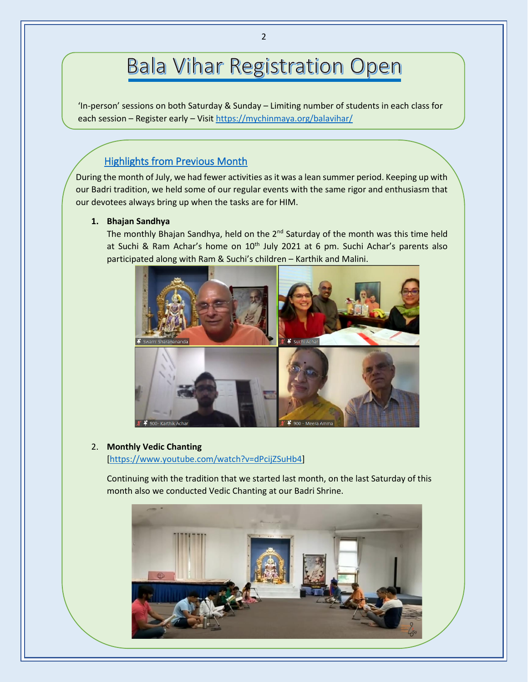# **Bala Vihar Registration Open**

'In-person' sessions on both Saturday & Sunday – Limiting number of students in each class for each session – Register early – Visit<https://mychinmaya.org/balavihar/>

# <span id="page-1-0"></span>Highlights from Previous Month

During the month of July, we had fewer activities as it was a lean summer period. Keeping up with our Badri tradition, we held some of our regular events with the same rigor and enthusiasm that our devotees always bring up when the tasks are for HIM.

#### **1. Bhajan Sandhya**

ľ

The monthly Bhajan Sandhya, held on the 2<sup>nd</sup> Saturday of the month was this time held at Suchi & Ram Achar's home on 10<sup>th</sup> July 2021 at 6 pm. Suchi Achar's parents also participated along with Ram & Suchi's children – Karthik and Malini.



#### 2. **Monthly Vedic Chanting**

[\[https://www.youtube.com/watch?v=dPcijZSuHb4\]](https://www.youtube.com/watch?v=dPcijZSuHb4)

Continuing with the tradition that we started last month, on the last Saturday of this month also we conducted Vedic Chanting at our Badri Shrine.

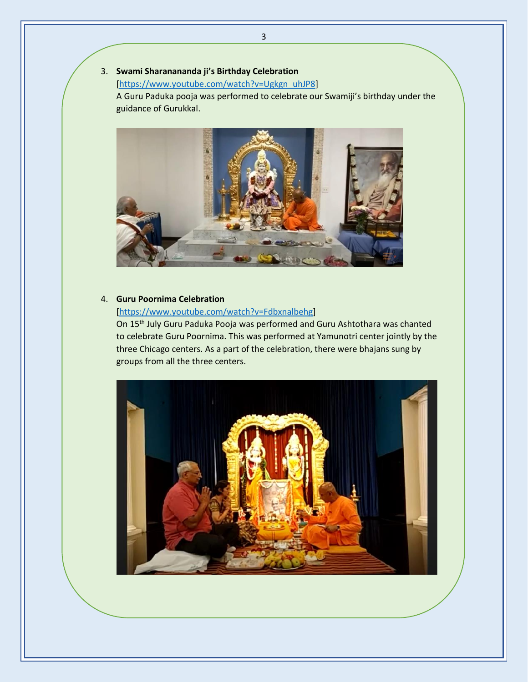## 3. **Swami Sharanananda ji's Birthday Celebration**

[\[https://www.youtube.com/watch?v=Ugkgn\\_uhJP8\]](https://www.youtube.com/watch?v=Ugkgn_uhJP8)

A Guru Paduka pooja was performed to celebrate our Swamiji's birthday under the guidance of Gurukkal.



#### 4. **Guru Poornima Celebration**

#### [\[https://www.youtube.com/watch?v=Fdbxnalbehg\]](https://www.youtube.com/watch?v=Fdbxnalbehg)

On 15<sup>th</sup> July Guru Paduka Pooja was performed and Guru Ashtothara was chanted to celebrate Guru Poornima. This was performed at Yamunotri center jointly by the three Chicago centers. As a part of the celebration, there were bhajans sung by groups from all the three centers.

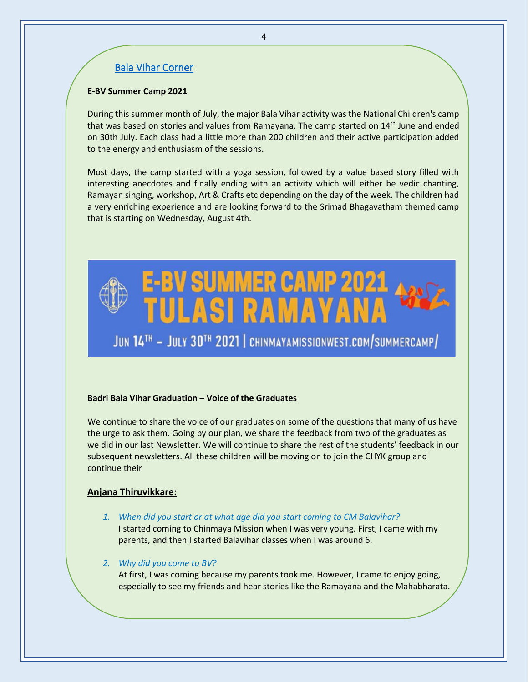## Bala Vihar Corner

#### **E-BV Summer Camp 2021**

During this summer month of July, the major Bala Vihar activity was the National Children's camp that was based on stories and values from Ramayana. The camp started on 14<sup>th</sup> June and ended on 30th July. Each class had a little more than 200 children and their active participation added to the energy and enthusiasm of the sessions.

Most days, the camp started with a yoga session, followed by a value based story filled with interesting anecdotes and finally ending with an activity which will either be vedic chanting, Ramayan singing, workshop, Art & Crafts etc depending on the day of the week. The children had a very enriching experience and are looking forward to the Srimad Bhagavatham themed camp that is starting on Wednesday, August 4th.



#### **Badri Bala Vihar Graduation – Voice of the Graduates**

We continue to share the voice of our graduates on some of the questions that many of us have the urge to ask them. Going by our plan, we share the feedback from two of the graduates as we did in our last Newsletter. We will continue to share the rest of the students' feedback in our subsequent newsletters. All these children will be moving on to join the CHYK group and continue their

#### **Anjana Thiruvikkare:**

*1. When did you start or at what age did you start coming to CM Balavihar?*  I started coming to Chinmaya Mission when I was very young. First, I came with my parents, and then I started Balavihar classes when I was around 6.

 $3.3.$  What inspired you to continue the BV classes time the BV classes time that  $\mathcal{A}$ Chinmaya Mission because I loved learning about the values and lessons that could be applied

*2. Why did you come to BV?* 

At first, I was coming because my parents took me. However, I came to enjoy going, especially to see my friends and hear stories like the Ramayana and the Mahabharata.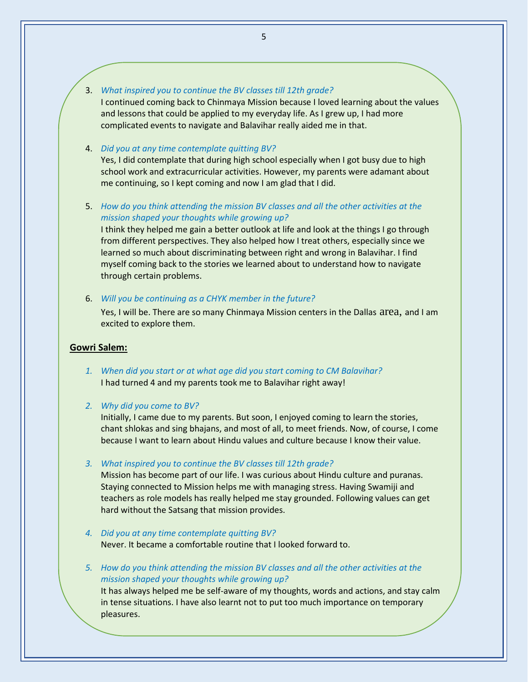#### 3. *What inspired you to continue the BV classes till 12th grade?*

I continued coming back to Chinmaya Mission because I loved learning about the values and lessons that could be applied to my everyday life. As I grew up, I had more complicated events to navigate and Balavihar really aided me in that.

#### 4. *Did you at any time contemplate quitting BV?*

Yes, I did contemplate that during high school especially when I got busy due to high school work and extracurricular activities. However, my parents were adamant about me continuing, so I kept coming and now I am glad that I did.

5. *How do you think attending the mission BV classes and all the other activities at the mission shaped your thoughts while growing up?*

I think they helped me gain a better outlook at life and look at the things I go through from different perspectives. They also helped how I treat others, especially since we learned so much about discriminating between right and wrong in Balavihar. I find myself coming back to the stories we learned about to understand how to navigate through certain problems.

6. *Will you be continuing as a CHYK member in the future?*

Yes, I will be. There are so many Chinmaya Mission centers in the Dallas area, and I am excited to explore them.

#### **Gowri Salem:**

- *1. When did you start or at what age did you start coming to CM Balavihar?* I had turned 4 and my parents took me to Balavihar right away!
- *2. Why did you come to BV?*

CHYK in the future!

Initially, I came due to my parents. But soon, I enjoyed coming to learn the stories, chant shlokas and sing bhajans, and most of all, to meet friends. Now, of course, I come because I want to learn about Hindu values and culture because I know their value.

*3. What inspired you to continue the BV classes till 12th grade?*

Mission has become part of our life. I was curious about Hindu culture and puranas. Staying connected to Mission helps me with managing stress. Having Swamiji and teachers as role models has really helped me stay grounded. Following values can get hard without the Satsang that mission provides.

*4. Did you at any time contemplate quitting BV?* Never. It became a comfortable routine that I looked forward to.

6. Will you be continuing as a CHYK member in the future?

*5. How do you think attending the mission BV classes and all the other activities at the mission shaped your thoughts while growing up?* It has always helped me be self-aware of my thoughts, words and actions, and stay calm in tense situations. I have also learnt not to put too much importance on temporary pleasures.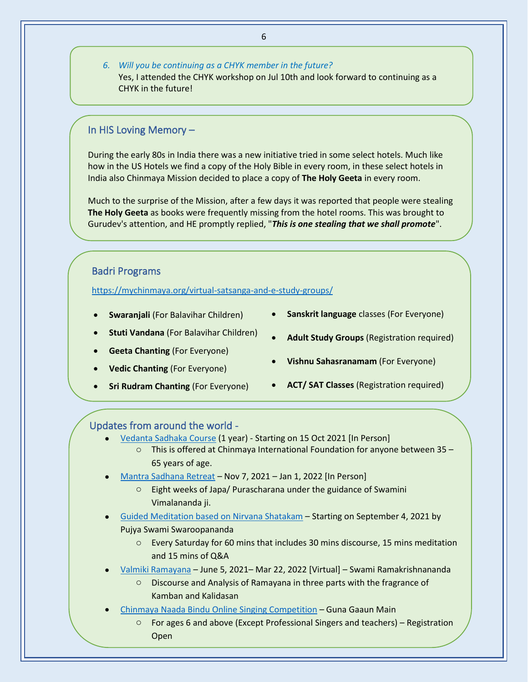*6. Will you be continuing as a CHYK member in the future?* Yes, I attended the CHYK workshop on Jul 10th and look forward to continuing as a CHYK in the future!

#### <span id="page-5-0"></span>In HIS Loving Memory –

During the early 80s in India there was a new initiative tried in some select hotels. Much like how in the US Hotels we find a copy of the Holy Bible in every room, in these select hotels in India also Chinmaya Mission decided to place a copy of **The Holy Geeta** in every room.

Much to the surprise of the Mission, after a few days it was reported that people were stealing **The Holy Geeta** as books were frequently missing from the hotel rooms. This was brought to Gurudev's attention, and HE promptly replied, "*This is one stealing that we shall promote*".

#### <span id="page-5-2"></span>Badri Programs

<https://mychinmaya.org/virtual-satsanga-and-e-study-groups/>

- **Swaranjali** (For Balavihar Children)
- **Sanskrit language** classes (For Everyone)
- **Stuti Vandana** (For Balavihar Children)
- **Geeta Chanting** (For Everyone)
- **Vedic Chanting** (For Everyone)
- **Sri Rudram Chanting** (For Everyone)
- **Adult Study Groups** (Registration required)
- **Vishnu Sahasranamam** (For Everyone)
- **ACT/ SAT Classes** (Registration required)

#### <span id="page-5-1"></span>Updates from around the world -

- [Vedanta Sadhaka Course](https://chinfo.org/home/event/vedanta-sadhaka-course/50) (1 year) Starting on 15 Oct 2021 [In Person] o This is offered at Chinmaya International Foundation for anyone between 35 – 65 years of age.
- [Mantra Sadhana Retreat](http://www.chinmayamission.com/event/mantra-sadhana-retreat/) Nov 7, 2021 Jan 1, 2022 [In Person]
	- o Eight weeks of Japa/ Purascharana under the guidance of Swamini Vimalananda ji.
- Guided Meditation [based on Nirvana Shatakam](https://www.chinfo.org/home/event/guided-meditation-series-2021/73) Starting on September 4, 2021 by Pujya Swami Swaroopananda
	- o Every Saturday for 60 mins that includes 30 mins discourse, 15 mins meditation and 15 mins of Q&A
- [Valmiki Ramayana](https://chinfo.org/valmiki-ramayana) June 5, 2021– Mar 22, 2022 [Virtual] Swami Ramakrishnananda
	- o Discourse and Analysis of Ramayana in three parts with the fragrance of Kamban and Kalidasan
- [Chinmaya Naada Bindu Online Singing Competition](https://www.g2m.cvv.ac.in/) Guna Gaaun Main
	- $\circ$  For ages 6 and above (Except Professional Singers and teachers) Registration **Open**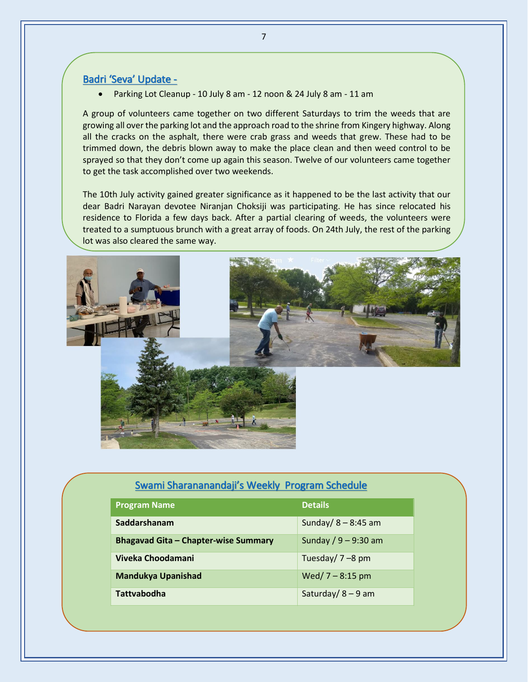#### <span id="page-6-0"></span>Badri 'Seva' Update -

• Parking Lot Cleanup - 10 July 8 am - 12 noon & 24 July 8 am - 11 am

A group of volunteers came together on two different Saturdays to trim the weeds that are growing all over the parking lot and the approach road to the shrine from Kingery highway. Along all the cracks on the asphalt, there were crab grass and weeds that grew. These had to be trimmed down, the debris blown away to make the place clean and then weed control to be sprayed so that they don't come up again this season. Twelve of our volunteers came together to get the task accomplished over two weekends.

The 10th July activity gained greater significance as it happened to be the last activity that our dear Badri Narayan devotee Niranjan Choksiji was participating. He has since relocated his residence to Florida a few days back. After a partial clearing of weeds, the volunteers were treated to a sumptuous brunch with a great array of foods. On 24th July, the rest of the parking lot was also cleared the same way.



### Swami Sharananandaji's [Weekly Program Schedule](https://mychinmaya.org/activities/weekly-activities/)

<span id="page-6-1"></span>

| <b>Program Name</b>                         | <b>Details</b>         |
|---------------------------------------------|------------------------|
| Saddarshanam                                | Sunday/ $8 - 8:45$ am  |
| <b>Bhagavad Gita - Chapter-wise Summary</b> | Sunday / $9 - 9:30$ am |
| Viveka Choodamani                           | Tuesday/ $7 - 8$ pm    |
| <b>Mandukya Upanishad</b>                   | Wed/ $7 - 8:15$ pm     |
| <b>Tattvabodha</b>                          | Saturday/ $8 - 9$ am   |